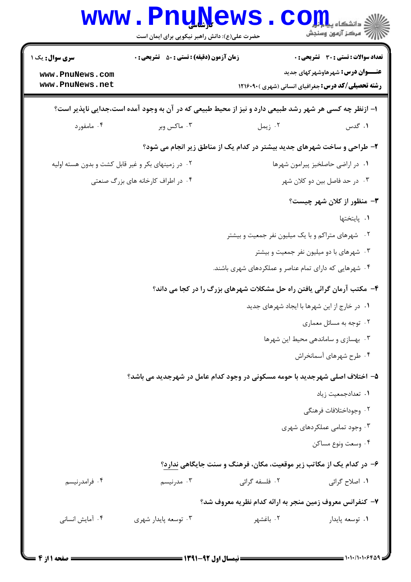|                                                                                                       | <b>WWW.FNUWEWS</b><br>حضرت علی(ع): دانش راهبر نیکویی برای ایمان است         |                               | دانشکاه <b>پیاپلیل</b><br>رِ آزمون وسنجش                                                                                                            |  |
|-------------------------------------------------------------------------------------------------------|-----------------------------------------------------------------------------|-------------------------------|-----------------------------------------------------------------------------------------------------------------------------------------------------|--|
| <b>سری سوال:</b> یک ۱<br>www.PnuNews.com<br>www.PnuNews.net                                           | <b>زمان آزمون (دقیقه) : تستی : 50 ٪ تشریحی : 0</b>                          |                               | <b>تعداد سوالات : تستی : 30 ٪ تشریحی : 0</b><br><b>عنـــوان درس:</b> شهرهاوشهرکهای جدید<br><b>رشته تحصیلی/کد درس:</b> جغرافیای انسانی (شهری )۲۱۶۰۹۰ |  |
| ۱– ازنظر چه کسی هر شهر رشد طبیعی دارد و نیز از محیط طبیعی که در آن به وجود آمده است،جدایی ناپذیر است؟ |                                                                             |                               |                                                                                                                                                     |  |
| ۰۴ مامفورد                                                                                            | ۰۳ ماکس وبر                                                                 | ۰۲ زیمل                       | ۰۱ گدس                                                                                                                                              |  |
|                                                                                                       | ۲- طراحی و ساخت شهرهای جدید بیشتر در کدام یک از مناطق زیر انجام می شود؟     |                               |                                                                                                                                                     |  |
| ۰۲ در زمینهای بکر و غیر قابل کشت و بدون هسته اولیه                                                    |                                                                             |                               | ٠١ در اراضي حاصلخيز پيرامون شهرها                                                                                                                   |  |
| ۰۴ در اطراف کارخانه های بزرگ صنعتی                                                                    |                                                                             | ۰۳ در حد فاصل بين دو كلان شهر |                                                                                                                                                     |  |
|                                                                                                       |                                                                             |                               | <b>۳</b> - منظور از کلان شهر چیست؟                                                                                                                  |  |
|                                                                                                       |                                                                             |                               | ٠١. پايتختها                                                                                                                                        |  |
|                                                                                                       |                                                                             |                               | ۰۲ شهرهای متراکم و با یک میلیون نفر جمعیت و بیشتر                                                                                                   |  |
|                                                                                                       |                                                                             |                               | ۰۳ شهرهای با دو میلیون نفر جمعیت و بیشتر                                                                                                            |  |
|                                                                                                       |                                                                             |                               | ۰۴ شهرهایی که دارای تمام عناصر و عملکردهای شهری باشند.                                                                                              |  |
|                                                                                                       | ۴- مکتب آرمان گرائی یافتن راه حل مشکلات شهرهای بزرگ را در کجا می داند؟      |                               |                                                                                                                                                     |  |
|                                                                                                       |                                                                             |                               | ۰۱ در خارج از این شهرها با ایجاد شهرهای جدید                                                                                                        |  |
|                                                                                                       |                                                                             |                               | ۰۲ توجه به مسائل معماری                                                                                                                             |  |
|                                                                                                       |                                                                             |                               | ۰۳ بهسازی و ساماندهی محیط این شهرها                                                                                                                 |  |
|                                                                                                       |                                                                             |                               | ۰۴ طرح شهرهای آسمانخراش                                                                                                                             |  |
|                                                                                                       | ۵– اختلاف اصلی شهرجدید با حومه مسکونی در وجود کدام عامل در شهرجدید می باشد؟ |                               |                                                                                                                                                     |  |
| ٠١ تعدادجمعيت زياد                                                                                    |                                                                             |                               |                                                                                                                                                     |  |
|                                                                                                       |                                                                             |                               | ٢. وجوداختلافات فرهنگى                                                                                                                              |  |
|                                                                                                       |                                                                             |                               | ۰۳ وجود تمامی عملکردهای شهری                                                                                                                        |  |
|                                                                                                       |                                                                             |                               | ۰۴ وسعت ونوع مساكن                                                                                                                                  |  |
|                                                                                                       |                                                                             |                               | ۶– در کدام یک از مکاتب زیر موقعیت، مکان، فرهنگ و سنت جایگاهی ندارد؟                                                                                 |  |
| ۰۴ فرامدرنیسم                                                                                         | ۰۳ مدرنیسم                                                                  | ۲. فلسفه گرائی                | ١. اصلاح گرائی                                                                                                                                      |  |
|                                                                                                       |                                                                             |                               | ۷– کنفرانس معروف زمین منجر به ارائه کدام نظریه معروف شد؟                                                                                            |  |
| ۰۴ آمایش انسانی                                                                                       | ۰۳ توسعه پایدار شهری                                                        | ۰۲ باغشهر                     | ۰۱ توسعه پایدار                                                                                                                                     |  |
|                                                                                                       |                                                                             |                               |                                                                                                                                                     |  |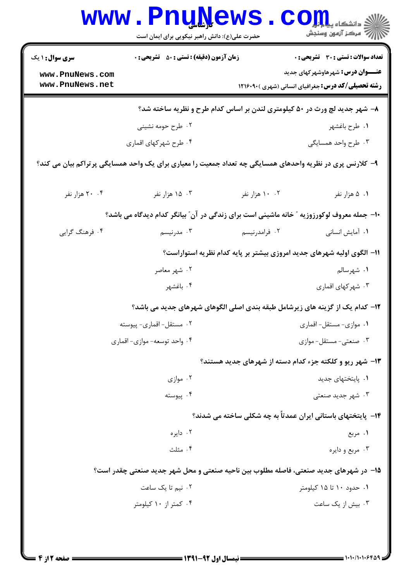|                                                                                           | <b>WWW.PNUNEWS</b><br>حضرت علی(ع): دانش راهبر نیکویی برای ایمان است                                        |                | $\text{COLL}$<br>رآب مرڪز آزمون وسنڊش                                                               |  |
|-------------------------------------------------------------------------------------------|------------------------------------------------------------------------------------------------------------|----------------|-----------------------------------------------------------------------------------------------------|--|
| <b>سری سوال : ۱ یک</b>                                                                    | <b>زمان آزمون (دقیقه) : تستی : 50 ٪ تشریحی : 0</b>                                                         |                | تعداد سوالات : تستي : 30 ٪ تشريحي : 0                                                               |  |
| www.PnuNews.com<br>www.PnuNews.net                                                        |                                                                                                            |                | <b>عنـــوان درس:</b> شهرهاوشهرکهای جدید<br><b>رشته تحصیلی/کد درس:</b> جغرافیای انسانی (شهری )۲۱۶۰۹۰ |  |
|                                                                                           | ۸- شهر جدید لچ ورث در ۵۰ کیلومتری لندن بر اساس کدام طرح و نظریه ساخته شد؟                                  |                |                                                                                                     |  |
|                                                                                           | ۲. طرح حومه نشینی                                                                                          |                | ۰۱ طرح باغشهر                                                                                       |  |
|                                                                                           | ۰۴ طرح شهركهاي اقماري                                                                                      |                | ۰۳ طرح واحد همسایگی                                                                                 |  |
|                                                                                           | ۹– کلارنس پری در نظریه واحدهای همسایگی چه تعداد جمعیت را معیاری برای یک واحد همسایگی پر تراکم بیان می کند؟ |                |                                                                                                     |  |
| ۰۴ هزار نفر                                                                               | ۰۳ هزار نفر                                                                                                | ۰۲ ۱۰ هزار نفر | ۰۱ ۵ هزار نفر                                                                                       |  |
| ۱۰- جمله معروف لوکورزوزیه ″ خانه ماشینی است برای زندگی در آن″ بیانگر کدام دیدگاه می باشد؟ |                                                                                                            |                |                                                                                                     |  |
| ۰۴ فرهنگ گرایی                                                                            | ۰۳ مدرنیسم                                                                                                 | ۰۲ فرامدرنیسم  | ۰۱ آمایش انسانی                                                                                     |  |
|                                                                                           |                                                                                                            |                | 11- الگوی اولیه شهرهای جدید امروزی بیشتر بر پایه کدام نظریه استواراست؟                              |  |
|                                                                                           | ۰۲ شهر معاصر                                                                                               |                | ۰۱ شهرسالم                                                                                          |  |
|                                                                                           | ۰۴ باغشهر                                                                                                  |                | ۰۳ شهرکهای اقماری                                                                                   |  |
|                                                                                           | ۱۲– کدام یک از گزینه های زیرشامل طبقه بندی اصلی الگوهای شهرهای جدید می باشد؟                               |                |                                                                                                     |  |
|                                                                                           | ٠٢ مستقل-اقماري- پيوسته                                                                                    |                | ٠١ موازي- مستقل- اقماري                                                                             |  |
|                                                                                           | ۰۴ واحد توسعه- موازي- اقماري                                                                               |                | ۰۳ صنعتی-مستقل-موازی                                                                                |  |
|                                                                                           |                                                                                                            |                | ۱۳- شهر ریو و کلکته جزء کدام دسته از شهرهای جدید هستند؟                                             |  |
|                                                                                           | ۰۲ موازی                                                                                                   |                | ۰۱ پایتختهای جدید                                                                                   |  |
|                                                                                           | ۰۴ پیوسته                                                                                                  |                | ۰۳ شهر جدید صنعتی                                                                                   |  |
|                                                                                           |                                                                                                            |                | ۱۴– پایتختهای باستانی ایران عمدتاً به چه شکلی ساخته می شدند؟                                        |  |
|                                                                                           | ۰۲ دایره                                                                                                   |                | ۰۱ مربع                                                                                             |  |
|                                                                                           | ۰۴ مثلث                                                                                                    |                | ۰۳ مربع و دايره                                                                                     |  |
|                                                                                           | ۱۵- در شهرهای جدید صنعتی، فاصله مطلوب بین ناحیه صنعتی و محل شهر جدید صنعتی چقدر است؟                       |                |                                                                                                     |  |
|                                                                                           | ۰۲ نیم تا یک ساعت                                                                                          |                | ۰۱ حدود ۱۰ تا ۱۵ کیلومتر                                                                            |  |
|                                                                                           | ۰۴ کمتر از ۱۰ کیلومتر                                                                                      |                | ۰۳ بیش از یک ساعت                                                                                   |  |
|                                                                                           |                                                                                                            |                |                                                                                                     |  |
|                                                                                           |                                                                                                            |                |                                                                                                     |  |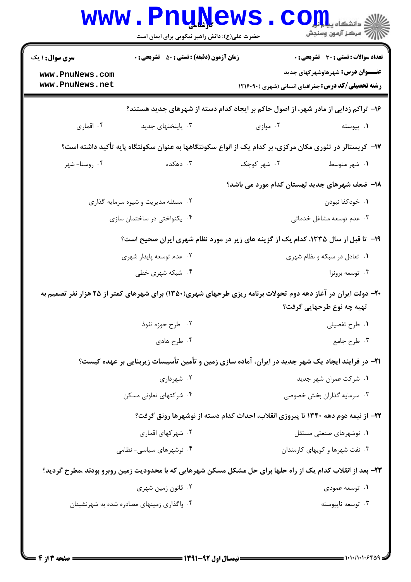| <b>سری سوال :</b> ۱ یک              | <b>زمان آزمون (دقیقه) : تستی : 50 ٪ تشریحی : 0</b> |                                                                                                              | <b>تعداد سوالات : تستی : 30 ٪ تشریحی : 0</b>                                                        |  |
|-------------------------------------|----------------------------------------------------|--------------------------------------------------------------------------------------------------------------|-----------------------------------------------------------------------------------------------------|--|
| www.PnuNews.com<br>www.PnuNews.net  |                                                    |                                                                                                              | <b>عنـــوان درس:</b> شهرهاوشهرکهای جدید<br><b>رشته تحصیلی/کد درس: جغرافیای انسانی (شهری )۲۱۶۰۹۰</b> |  |
|                                     |                                                    | ۱۶– تراکم زدایی از مادر شهر، از اصول حاکم بر ایجاد کدام دسته از شهرهای جدید هستند؟                           |                                                                                                     |  |
| ۰۴ اقماری                           | ۰۳ پایتختهای جدید                                  | ۰۲ موازی                                                                                                     | ۰۱ پیوسته                                                                                           |  |
|                                     |                                                    | ۱۷– کریستالر در تئوری مکان مرکزی، بر کدام یک از انواع سکونتگاهها به عنوان سکونتگاه پایه تأکید داشته است؟     |                                                                                                     |  |
| ۰۴ روستا- شهر                       | ۰۳ دهکده                                           | ۰۲ شهر کوچک                                                                                                  | ٠١ شهر متوسط                                                                                        |  |
|                                     |                                                    | ۱۸– ضعف شهرهای جدید لهستان کدام مورد می باشد؟                                                                |                                                                                                     |  |
| ۰۲ مسئله مدیریت و شیوه سرمایه گذاری |                                                    |                                                                                                              | ٠١. خودكفا نبودن                                                                                    |  |
| ۰۴ یکنواختی در ساختمان سازی         |                                                    |                                                                                                              | ۰۳ عدم توسعه مشاغل خدماتی                                                                           |  |
|                                     |                                                    | ۱۹- تا قبل از سال ۱۳۳۵، کدام یک از گزینه های زیر در مورد نظام شهری ایران صحیح است؟                           |                                                                                                     |  |
| ۰۲ عدم توسعه پایدار شهری            |                                                    | ۰۱ تعادل در سبکه و نظام شهری                                                                                 |                                                                                                     |  |
|                                     | ۰۴ شبکه شهری خطی                                   |                                                                                                              | ۰۳ توسعه برونزا                                                                                     |  |
|                                     |                                                    | -۲- دولت ایران در آغاز دهه دوم تحولات برنامه ریزی طرحهای شهری(۱۳۵۰) برای شهرهای کمتر از ۲۵ هزار نفر تصمیم به |                                                                                                     |  |
|                                     |                                                    |                                                                                                              | تهیه چه نوع طرحهایی گرفت؟                                                                           |  |
|                                     | ۰۲ طرح حوزه نفوذ                                   |                                                                                                              | ۰۱ طرح تفصیلی                                                                                       |  |
|                                     | ۰۴ طرح هادي                                        |                                                                                                              | ۰۳ طرح جامع                                                                                         |  |
|                                     |                                                    | ۲۱– در فرایند ایجاد یک شهر جدید در ایران، آماده سازی زمین و تأمین تأسیسات زیربنایی بر عهده کیست؟             |                                                                                                     |  |
|                                     | ۰۲ شهرداری                                         |                                                                                                              | ۰۱ شرکت عمران شهر جدید                                                                              |  |
|                                     | ۰۴ شرکتهای تعاونی مسکن                             |                                                                                                              | ۰۳ سرمایه گذاران بخش خصوصی                                                                          |  |
|                                     |                                                    | ۲۲- از نیمه دوم دهه ۱۳۴۰ تا پیروزی انقلاب، احداث کدام دسته از نوشهرها رونق گرفت؟                             |                                                                                                     |  |
|                                     | ۰۲ شهر کهای اقماری                                 |                                                                                                              | ۰۱ نوشهرهای صنعتی مستقل                                                                             |  |
| ۰۴ نوشهرهای سیاسی- نظامی            |                                                    | ۰۳ نفت شهرها و کویهای کارمندان                                                                               |                                                                                                     |  |
|                                     |                                                    | ۲۳- بعد از انقلاب کدام یک از راه حلها برای حل مشکل مسکن شهرهایی که با محدودیت زمین روبرو بودند ،مطرح گردید؟  |                                                                                                     |  |
|                                     | ۰۲ قانون زمین شهری                                 |                                                                                                              | ۰۱ توسعه عمودی                                                                                      |  |
|                                     | ۰۴ واگذاری زمینهای مصادره شده به شهرنشینان         |                                                                                                              | ۰۳ توسعه ناپیوسته                                                                                   |  |